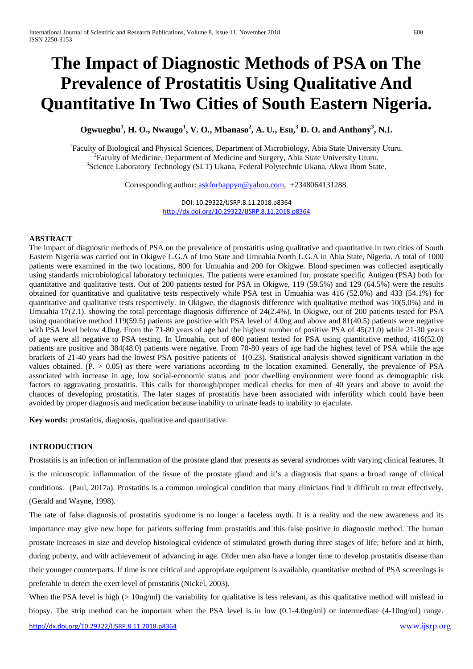# **The Impact of Diagnostic Methods of PSA on The Prevalence of Prostatitis Using Qualitative And Quantitative In Two Cities of South Eastern Nigeria.**

# **Ogwuegbu<sup>1</sup> , H. O., Nwaugo<sup>1</sup> , V. O., Mbanaso<sup>2</sup> , A. U., Esu, <sup>3</sup> D. O. and Anthony<sup>3</sup> , N.I.**

<sup>1</sup> Faculty of Biological and Physical Sciences, Department of Microbiology, Abia State University Uturu.  ${}^{2}$ Faculty of Medicine, Department of Medicine and Surgery, Abia State University Uturu. <sup>3</sup>Science Laboratory Technology (SLT) Ukana, Federal Polytechnic Ukana, Akwa Ibom State.

Corresponding author: [askforhappyn@yahoo.com,](mailto:askforhappyn@yahoo.com) +2348064131288.

DOI: 10.29322/IJSRP.8.11.2018.p8364 <http://dx.doi.org/10.29322/IJSRP.8.11.2018.p8364>

#### **ABSTRACT**

The impact of diagnostic methods of PSA on the prevalence of prostatitis using qualitative and quantitative in two cities of South Eastern Nigeria was carried out in Okigwe L.G.A of Imo State and Umuahia North L.G.A in Abia State, Nigeria. A total of 1000 patients were examined in the two locations, 800 for Umuahia and 200 for Okigwe. Blood specimen was collected aseptically using standards microbiological laboratory techniques. The patients were examined for, prostate specific Antigen (PSA) both for quantitative and qualitative tests. Out of 200 patients tested for PSA in Okigwe, 119 (59.5%) and 129 (64.5%) were the results obtained for quantitative and qualitative tests respectively while PSA test in Umuahia was 416 (52.0%) and 433 (54.1%) for quantitative and qualitative tests respectively. In Okigwe, the diagnosis difference with qualitative method was 10(5.0%) and in Umuahia 17(2.1). showing the total percentage diagnosis difference of 24(2.4%). In Okigwe, out of 200 patients tested for PSA using quantitative method 119(59.5) patients are positive with PSA level of 4.0ng and above and 81(40.5) patients were negative with PSA level below 4.0ng. From the 71-80 years of age had the highest number of positive PSA of 45(21.0) while 21-30 years of age were all negative to PSA testing. In Umuahia, out of 800 patient tested for PSA using quantitative method, 416(52.0) patients are positive and 384(48.0) patients were negative. From 70-80 years of age had the highest level of PSA while the age brackets of 21-40 years had the lowest PSA positive patients of 1(0.23). Statistical analysis showed significant variation in the values obtained.  $(P. > 0.05)$  as there were variations according to the location examined. Generally, the prevalence of PSA associated with increase in age, low social-economic status and poor dwelling environment were found as demographic risk factors to aggravating prostatitis. This calls for thorough/proper medical checks for men of 40 years and above to avoid the chances of developing prostatitis. The later stages of prostatitis have been associated with infertility which could have been avoided by proper diagnosis and medication because inability to urinate leads to inability to ejaculate.

**Key words:** prostatitis, diagnosis, qualitative and quantitative.

#### **INTRODUCTION**

Prostatitis is an infection or inflammation of the prostate gland that presents as several syndromes with varying clinical features. It is the microscopic inflammation of the tissue of the prostate gland and it's a diagnosis that spans a broad range of clinical conditions. (Paul, 2017a). Prostatitis is a common urological condition that many clinicians find it difficult to treat effectively. (Gerald and Wayne, 1998).

The rate of false diagnosis of prostatitis syndrome is no longer a faceless myth. It is a reality and the new awareness and its importance may give new hope for patients suffering from prostatitis and this false positive in diagnostic method. The human prostate increases in size and develop histological evidence of stimulated growth during three stages of life; before and at birth, during puberty, and with achievement of advancing in age. Older men also have a longer time to develop prostatitis disease than their younger counterparts. If time is not critical and appropriate equipment is available, quantitative method of PSA screenings is preferable to detect the exert level of prostatitis (Nickel, 2003).

When the PSA level is high  $(> 10ng/ml)$  the variability for qualitative is less relevant, as this qualitative method will mislead in biopsy. The strip method can be important when the PSA level is in low (0.1-4.0ng/ml) or intermediate (4-10ng/ml) range.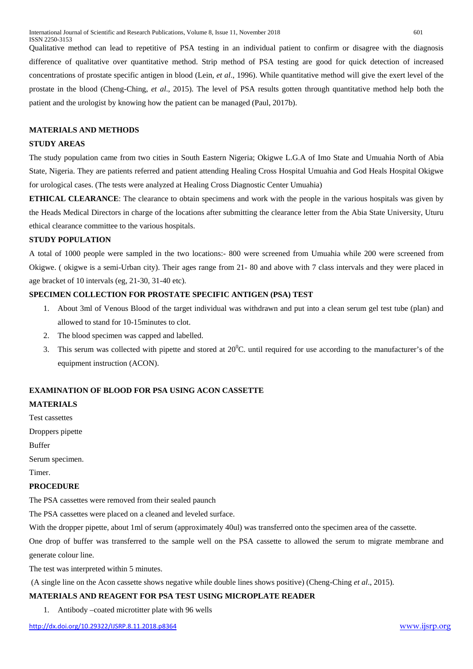Qualitative method can lead to repetitive of PSA testing in an individual patient to confirm or disagree with the diagnosis difference of qualitative over quantitative method. Strip method of PSA testing are good for quick detection of increased concentrations of prostate specific antigen in blood (Lein, *et al*., 1996). While quantitative method will give the exert level of the prostate in the blood (Cheng-Ching, *et al*., 2015). The level of PSA results gotten through quantitative method help both the patient and the urologist by knowing how the patient can be managed (Paul, 2017b).

#### **MATERIALS AND METHODS**

#### **STUDY AREAS**

The study population came from two cities in South Eastern Nigeria; Okigwe L.G.A of Imo State and Umuahia North of Abia State, Nigeria. They are patients referred and patient attending Healing Cross Hospital Umuahia and God Heals Hospital Okigwe for urological cases. (The tests were analyzed at Healing Cross Diagnostic Center Umuahia)

**ETHICAL CLEARANCE**: The clearance to obtain specimens and work with the people in the various hospitals was given by the Heads Medical Directors in charge of the locations after submitting the clearance letter from the Abia State University, Uturu ethical clearance committee to the various hospitals.

# **STUDY POPULATION**

A total of 1000 people were sampled in the two locations:- 800 were screened from Umuahia while 200 were screened from Okigwe. ( okigwe is a semi-Urban city). Their ages range from 21- 80 and above with 7 class intervals and they were placed in age bracket of 10 intervals (eg, 21-30, 31-40 etc).

## **SPECIMEN COLLECTION FOR PROSTATE SPECIFIC ANTIGEN (PSA) TEST**

- 1. About 3ml of Venous Blood of the target individual was withdrawn and put into a clean serum gel test tube (plan) and allowed to stand for 10-15minutes to clot.
- 2. The blood specimen was capped and labelled.
- 3. This serum was collected with pipette and stored at  $20^{\circ}$ C. until required for use according to the manufacturer's of the equipment instruction (ACON).

#### **EXAMINATION OF BLOOD FOR PSA USING ACON CASSETTE**

## **MATERIALS**

Test cassettes

Droppers pipette

Buffer

Serum specimen.

Timer.

#### **PROCEDURE**

The PSA cassettes were removed from their sealed paunch

The PSA cassettes were placed on a cleaned and leveled surface.

With the dropper pipette, about 1ml of serum (approximately 40ul) was transferred onto the specimen area of the cassette.

One drop of buffer was transferred to the sample well on the PSA cassette to allowed the serum to migrate membrane and generate colour line.

The test was interpreted within 5 minutes.

(A single line on the Acon cassette shows negative while double lines shows positive) (Cheng-Ching *et al*., 2015).

#### **MATERIALS AND REAGENT FOR PSA TEST USING MICROPLATE READER**

1. Antibody –coated microtitter plate with 96 wells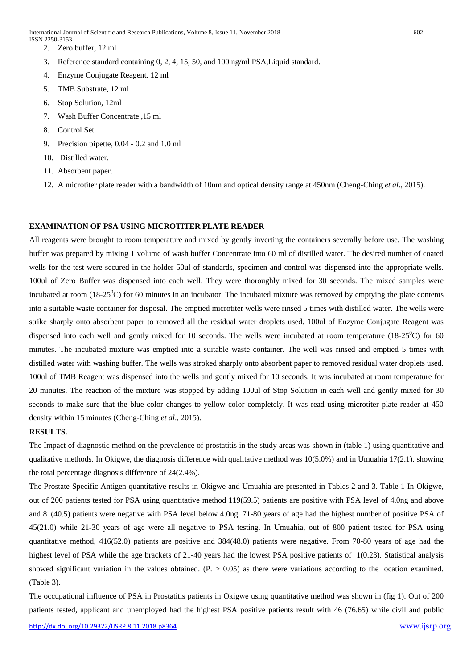International Journal of Scientific and Research Publications, Volume 8, Issue 11, November 2018 602 ISSN 2250-3153

- 2. Zero buffer, 12 ml
- 3. Reference standard containing 0, 2, 4, 15, 50, and 100 ng/ml PSA,Liquid standard.
- 4. Enzyme Conjugate Reagent. 12 ml
- 5. TMB Substrate, 12 ml
- 6. Stop Solution, 12ml
- 7. Wash Buffer Concentrate ,15 ml
- 8. Control Set.
- 9. Precision pipette, 0.04 0.2 and 1.0 ml
- 10. Distilled water.
- 11. Absorbent paper.
- 12. A microtiter plate reader with a bandwidth of 10nm and optical density range at 450nm (Cheng-Ching *et al*., 2015).

## **EXAMINATION OF PSA USING MICROTITER PLATE READER**

All reagents were brought to room temperature and mixed by gently inverting the containers severally before use. The washing buffer was prepared by mixing 1 volume of wash buffer Concentrate into 60 ml of distilled water. The desired number of coated wells for the test were secured in the holder 50ul of standards, specimen and control was dispensed into the appropriate wells. 100ul of Zero Buffer was dispensed into each well. They were thoroughly mixed for 30 seconds. The mixed samples were incubated at room (18-25 $\rm{^0C}$ ) for 60 minutes in an incubator. The incubated mixture was removed by emptying the plate contents into a suitable waste container for disposal. The emptied microtiter wells were rinsed 5 times with distilled water. The wells were strike sharply onto absorbent paper to removed all the residual water droplets used. 100ul of Enzyme Conjugate Reagent was dispensed into each well and gently mixed for 10 seconds. The wells were incubated at room temperature  $(18-25^{\circ}C)$  for 60 minutes. The incubated mixture was emptied into a suitable waste container. The well was rinsed and emptied 5 times with distilled water with washing buffer. The wells was stroked sharply onto absorbent paper to removed residual water droplets used. 100ul of TMB Reagent was dispensed into the wells and gently mixed for 10 seconds. It was incubated at room temperature for 20 minutes. The reaction of the mixture was stopped by adding 100ul of Stop Solution in each well and gently mixed for 30 seconds to make sure that the blue color changes to yellow color completely. It was read using microtiter plate reader at 450 density within 15 minutes (Cheng-Ching *et al*., 2015).

# **RESULTS.**

The Impact of diagnostic method on the prevalence of prostatitis in the study areas was shown in (table 1) using quantitative and qualitative methods. In Okigwe, the diagnosis difference with qualitative method was  $10(5.0%)$  and in Umuahia  $17(2.1)$ . showing the total percentage diagnosis difference of 24(2.4%).

The Prostate Specific Antigen quantitative results in Okigwe and Umuahia are presented in Tables 2 and 3. Table 1 In Okigwe, out of 200 patients tested for PSA using quantitative method 119(59.5) patients are positive with PSA level of 4.0ng and above and 81(40.5) patients were negative with PSA level below 4.0ng. 71-80 years of age had the highest number of positive PSA of 45(21.0) while 21-30 years of age were all negative to PSA testing. In Umuahia, out of 800 patient tested for PSA using quantitative method, 416(52.0) patients are positive and 384(48.0) patients were negative. From 70-80 years of age had the highest level of PSA while the age brackets of 21-40 years had the lowest PSA positive patients of 1(0.23). Statistical analysis showed significant variation in the values obtained.  $(P. > 0.05)$  as there were variations according to the location examined. (Table 3).

The occupational influence of PSA in Prostatitis patients in Okigwe using quantitative method was shown in (fig 1). Out of 200 patients tested, applicant and unemployed had the highest PSA positive patients result with 46 (76.65) while civil and public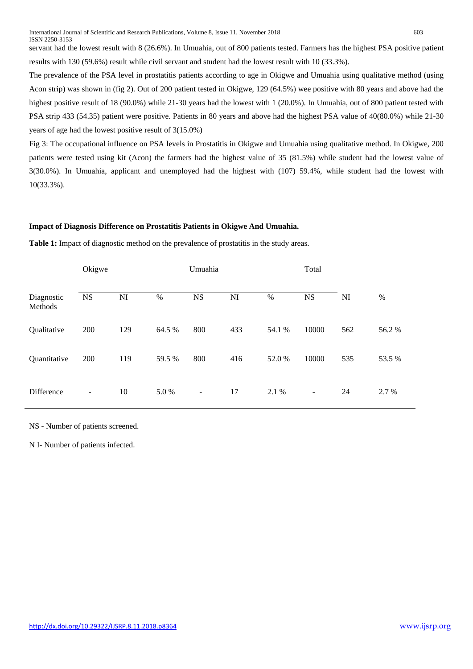The prevalence of the PSA level in prostatitis patients according to age in Okigwe and Umuahia using qualitative method (using Acon strip) was shown in (fig 2). Out of 200 patient tested in Okigwe, 129 (64.5%) wee positive with 80 years and above had the highest positive result of 18 (90.0%) while 21-30 years had the lowest with 1 (20.0%). In Umuahia, out of 800 patient tested with PSA strip 433 (54.35) patient were positive. Patients in 80 years and above had the highest PSA value of 40(80.0%) while 21-30 years of age had the lowest positive result of 3(15.0%)

Fig 3: The occupational influence on PSA levels in Prostatitis in Okigwe and Umuahia using qualitative method. In Okigwe, 200 patients were tested using kit (Acon) the farmers had the highest value of 35 (81.5%) while student had the lowest value of 3(30.0%). In Umuahia, applicant and unemployed had the highest with (107) 59.4%, while student had the lowest with 10(33.3%).

# **Impact of Diagnosis Difference on Prostatitis Patients in Okigwe And Umuahia.**

**Table 1:** Impact of diagnostic method on the prevalence of prostatitis in the study areas.

|                       | Okigwe                   |     |        | Umuahia                  |     |        | Total                    |     |        |
|-----------------------|--------------------------|-----|--------|--------------------------|-----|--------|--------------------------|-----|--------|
| Diagnostic<br>Methods | <b>NS</b>                | NI  | $\%$   | <b>NS</b>                | NI  | $\%$   | <b>NS</b>                | NI  | $\%$   |
| Qualitative           | 200                      | 129 | 64.5 % | 800                      | 433 | 54.1 % | 10000                    | 562 | 56.2%  |
| Quantitative          | 200                      | 119 | 59.5 % | 800                      | 416 | 52.0%  | 10000                    | 535 | 53.5 % |
| Difference            | $\overline{\phantom{a}}$ | 10  | 5.0%   | $\overline{\phantom{a}}$ | 17  | 2.1 %  | $\overline{\phantom{a}}$ | 24  | 2.7 %  |

NS - Number of patients screened.

N I- Number of patients infected.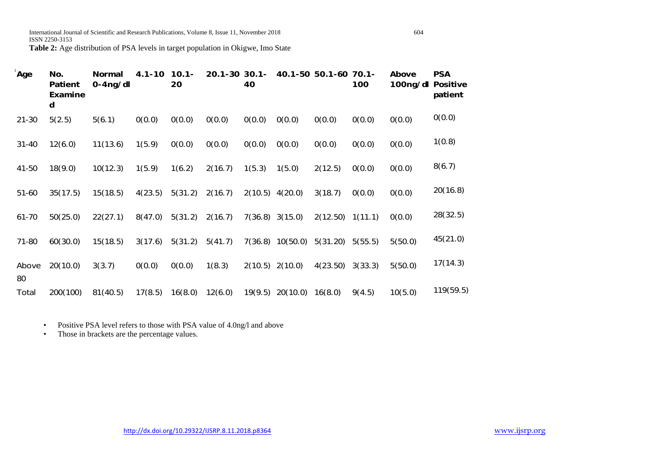**Table 2:** Age distribution of PSA levels in target population in Okigwe, Imo State

| <sup>=</sup> Age | No.<br><b>Patient</b><br><b>Examine</b><br>d | <b>Normal</b><br>$0 - 4$ ng/dl | $4.1 - 10$ | $10.1 -$<br>20 | $20.1 - 30$ 30.1- | 40      |                     | 40.1-50 50.1-60 70.1- | 100     | Above<br>100ng/dl | <b>PSA</b><br><b>Positive</b><br>patient |
|------------------|----------------------------------------------|--------------------------------|------------|----------------|-------------------|---------|---------------------|-----------------------|---------|-------------------|------------------------------------------|
| $21 - 30$        | 5(2.5)                                       | 5(6.1)                         | 0(0.0)     | 0(0.0)         | 0(0.0)            | 0(0.0)  | 0(0.0)              | 0(0.0)                | 0(0.0)  | 0(0.0)            | 0(0.0)                                   |
| $31 - 40$        | 12(6.0)                                      | 11(13.6)                       | 1(5.9)     | 0(0.0)         | 0(0.0)            | 0(0.0)  | 0(0.0)              | 0(0.0)                | 0(0.0)  | 0(0.0)            | 1(0.8)                                   |
| 41-50            | 18(9.0)                                      | 10(12.3)                       | 1(5.9)     | 1(6.2)         | 2(16.7)           | 1(5.3)  | 1(5.0)              | 2(12.5)               | 0(0.0)  | 0(0.0)            | 8(6.7)                                   |
| 51-60            | 35(17.5)                                     | 15(18.5)                       | 4(23.5)    | 5(31.2)        | 2(16.7)           | 2(10.5) | 4(20.0)             | 3(18.7)               | 0(0.0)  | 0(0.0)            | 20(16.8)                                 |
| $61 - 70$        | 50(25.0)                                     | 22(27.1)                       | 8(47.0)    | 5(31.2)        | 2(16.7)           |         | $7(36.8)$ 3(15.0)   | 2(12.50)              | 1(11.1) | 0(0.0)            | 28(32.5)                                 |
| 71-80            | 60(30.0)                                     | 15(18.5)                       | 3(17.6)    | 5(31.2)        | 5(41.7)           |         | 7(36.8) 10(50.0)    | 5(31.20)              | 5(55.5) | 5(50.0)           | 45(21.0)                                 |
| Above<br>80      | 20(10.0)                                     | 3(3.7)                         | 0(0.0)     | 0(0.0)         | 1(8.3)            |         | $2(10.5)$ $2(10.0)$ | 4(23.50)              | 3(33.3) | 5(50.0)           | 17(14.3)                                 |
| Total            | 200(100)                                     | 81(40.5)                       | 17(8.5)    | 16(8.0)        | 12(6.0)           | 19(9.5) | 20(10.0)            | 16(8.0)               | 9(4.5)  | 10(5.0)           | 119(59.5)                                |

• Positive PSA level refers to those with PSA value of 4.0ng/l and above

• Those in brackets are the percentage values.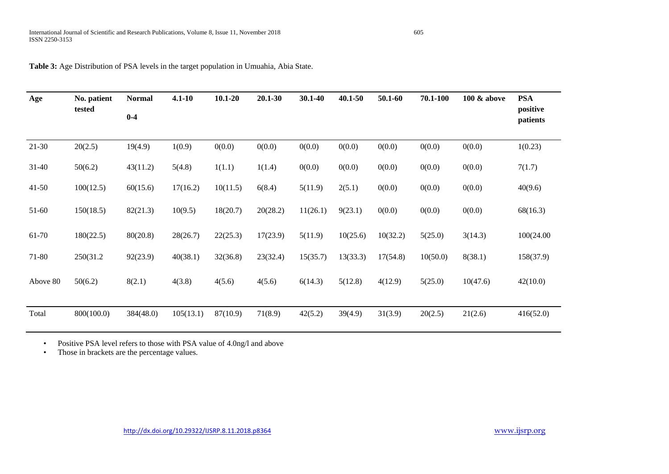| Age       | No. patient<br>tested | <b>Normal</b> | $4.1 - 10$ | $10.1 - 20$ | 20.1-30  | 30.1-40  | 40.1-50  | 50.1-60  | 70.1-100 | 100 & above | <b>PSA</b>           |
|-----------|-----------------------|---------------|------------|-------------|----------|----------|----------|----------|----------|-------------|----------------------|
|           |                       | $0-4$         |            |             |          |          |          |          |          |             | positive<br>patients |
|           |                       |               |            |             |          |          |          |          |          |             |                      |
| $21-30$   | 20(2.5)               | 19(4.9)       | 1(0.9)     | 0(0.0)      | 0(0.0)   | 0(0.0)   | 0(0.0)   | 0(0.0)   | 0(0.0)   | 0(0.0)      | 1(0.23)              |
| 31-40     | 50(6.2)               | 43(11.2)      | 5(4.8)     | 1(1.1)      | 1(1.4)   | 0(0.0)   | 0(0.0)   | 0(0.0)   | 0(0.0)   | 0(0.0)      | 7(1.7)               |
| $41 - 50$ | 100(12.5)             | 60(15.6)      | 17(16.2)   | 10(11.5)    | 6(8.4)   | 5(11.9)  | 2(5.1)   | 0(0.0)   | 0(0.0)   | 0(0.0)      | 40(9.6)              |
| 51-60     | 150(18.5)             | 82(21.3)      | 10(9.5)    | 18(20.7)    | 20(28.2) | 11(26.1) | 9(23.1)  | 0(0.0)   | 0(0.0)   | 0(0.0)      | 68(16.3)             |
| 61-70     | 180(22.5)             | 80(20.8)      | 28(26.7)   | 22(25.3)    | 17(23.9) | 5(11.9)  | 10(25.6) | 10(32.2) | 5(25.0)  | 3(14.3)     | 100(24.00            |
| 71-80     | 250(31.2)             | 92(23.9)      | 40(38.1)   | 32(36.8)    | 23(32.4) | 15(35.7) | 13(33.3) | 17(54.8) | 10(50.0) | 8(38.1)     | 158(37.9)            |
| Above 80  | 50(6.2)               | 8(2.1)        | 4(3.8)     | 4(5.6)      | 4(5.6)   | 6(14.3)  | 5(12.8)  | 4(12.9)  | 5(25.0)  | 10(47.6)    | 42(10.0)             |
| Total     | 800(100.0)            | 384(48.0)     | 105(13.1)  | 87(10.9)    | 71(8.9)  | 42(5.2)  | 39(4.9)  | 31(3.9)  | 20(2.5)  | 21(2.6)     | 416(52.0)            |

**Table 3:** Age Distribution of PSA levels in the target population in Umuahia, Abia State.

• Positive PSA level refers to those with PSA value of 4.0ng/l and above

• Those in brackets are the percentage values.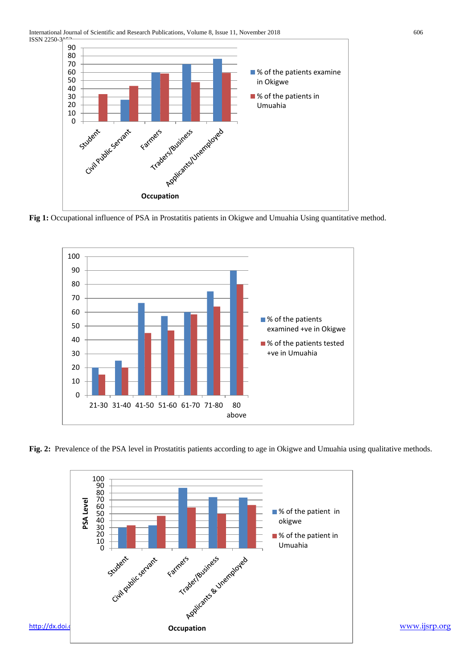

**Fig 1:** Occupational influence of PSA in Prostatitis patients in Okigwe and Umuahia Using quantitative method.



**Fig. 2:** Prevalence of the PSA level in Prostatitis patients according to age in Okigwe and Umuahia using qualitative methods.

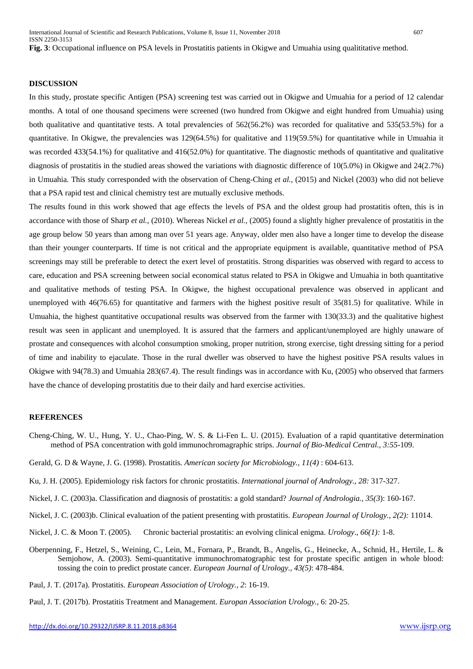#### **DISCUSSION**

In this study, prostate specific Antigen (PSA) screening test was carried out in Okigwe and Umuahia for a period of 12 calendar months. A total of one thousand specimens were screened (two hundred from Okigwe and eight hundred from Umuahia) using both qualitative and quantitative tests. A total prevalencies of 562(56.2%) was recorded for qualitative and 535(53.5%) for a quantitative. In Okigwe, the prevalencies was 129(64.5%) for qualitative and 119(59.5%) for quantitative while in Umuahia it was recorded 433(54.1%) for qualitative and 416(52.0%) for quantitative. The diagnostic methods of quantitative and qualitative diagnosis of prostatitis in the studied areas showed the variations with diagnostic difference of 10(5.0%) in Okigwe and 24(2.7%) in Umuahia. This study corresponded with the observation of Cheng-Ching *et al.,* (2015) and Nickel (2003) who did not believe that a PSA rapid test and clinical chemistry test are mutually exclusive methods.

The results found in this work showed that age effects the levels of PSA and the oldest group had prostatitis often, this is in accordance with those of Sharp *et al.*, (2010). Whereas Nickel *et al.,* (2005) found a slightly higher prevalence of prostatitis in the age group below 50 years than among man over 51 years age. Anyway, older men also have a longer time to develop the disease than their younger counterparts. If time is not critical and the appropriate equipment is available, quantitative method of PSA screenings may still be preferable to detect the exert level of prostatitis. Strong disparities was observed with regard to access to care, education and PSA screening between social economical status related to PSA in Okigwe and Umuahia in both quantitative and qualitative methods of testing PSA. In Okigwe, the highest occupational prevalence was observed in applicant and unemployed with 46(76.65) for quantitative and farmers with the highest positive result of 35(81.5) for qualitative. While in Umuahia, the highest quantitative occupational results was observed from the farmer with 130(33.3) and the qualitative highest result was seen in applicant and unemployed. It is assured that the farmers and applicant/unemployed are highly unaware of prostate and consequences with alcohol consumption smoking, proper nutrition, strong exercise, tight dressing sitting for a period of time and inability to ejaculate. Those in the rural dweller was observed to have the highest positive PSA results values in Okigwe with 94(78.3) and Umuahia 283(67.4). The result findings was in accordance with Ku, (2005) who observed that farmers have the chance of developing prostatitis due to their daily and hard exercise activities.

#### **REFERENCES**

- Cheng-Ching, W. U., Hung, Y. U., Chao-Ping, W. S. & Li-Fen L. U. (2015). Evaluation of a rapid quantitative determination method of PSA concentration with gold immunochromagraphic strips. *Journal of Bio-Medical Central., 3:55*-109.
- Gerald, G. D & Wayne, J. G. (1998). Prostatitis*. American society for Microbiology., 11(4)* : 604-613.

Ku, J. H. (2005). Epidemiology risk factors for chronic prostatitis. *International journal of Andrology., 28:* 317-327.

- Nickel, J. C. (2003)a. Classification and diagnosis of prostatitis: a gold standard? *Journal of Andrologia., 35(3*): 160-167.
- Nickel, J. C. (2003)b. Clinical evaluation of the patient presenting with prostatitis. *European Journal of Urology., 2(2):* 11014.
- Nickel, J. C. & Moon T. (2005). Chronic bacterial prostatitis: an evolving clinical enigma. *Urology*., *66(1):* 1-8.
- Oberpenning, F., Hetzel, S., Weining, C., Lein, M., Fornara, P., Brandt, B., Angelis, G., Heinecke, A., Schnid, H., Hertile, L. & Semjohow, A. (2003). Semi-quantitative immunochromatographic test for prostate specific antigen in whole blood: tossing the coin to predict prostate cancer. *European Journal of Urology., 43(5)*: 478-484.
- Paul, J. T. (2017a). Prostatitis. *European Association of Urology., 2*: 16-19.
- Paul, J. T. (2017b). Prostatitis Treatment and Management. *Europan Association Urology.,* 6: 20-25.